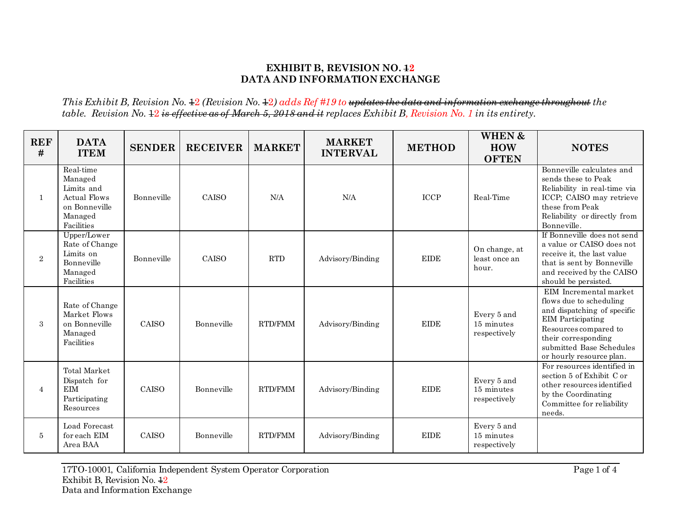## **EXHIBIT B, REVISION NO. 12 DATA AND INFORMATION EXCHANGE**

*This Exhibit B, Revision No.*  $\pm 2$  *(Revision No.*  $\pm 2$ *) adds Ref #19 to updates the data and information exchange throughout the table. Revision No.* 12 *is effective as of March 5, 2018 and it replaces Exhibit B, Revision No. 1 in its entirety.*

| <b>REF</b><br># | <b>DATA</b><br><b>ITEM</b>                                                                          | <b>SENDER</b> | <b>RECEIVER</b> | <b>MARKET</b>  | <b>MARKET</b><br><b>INTERVAL</b> | <b>METHOD</b>                | WHEN &<br><b>HOW</b><br><b>OFTEN</b>      | <b>NOTES</b>                                                                                                                                                                                                         |
|-----------------|-----------------------------------------------------------------------------------------------------|---------------|-----------------|----------------|----------------------------------|------------------------------|-------------------------------------------|----------------------------------------------------------------------------------------------------------------------------------------------------------------------------------------------------------------------|
| 1               | Real-time<br>Managed<br>Limits and<br><b>Actual Flows</b><br>on Bonneville<br>Managed<br>Facilities | Bonneville    | CAISO           | N/A            | N/A                              | <b>ICCP</b>                  | Real-Time                                 | Bonneville calculates and<br>sends these to Peak<br>Reliability in real-time via<br>ICCP; CAISO may retrieve<br>these from Peak<br>Reliability or directly from<br>Bonneville.                                       |
| 2               | Upper/Lower<br>Rate of Change<br>Limits on<br>Bonneville<br>Managed<br>Facilities                   | Bonneville    | CAISO           | <b>RTD</b>     | Advisory/Binding                 | <b>EIDE</b>                  | On change, at<br>least once an<br>hour.   | If Bonneville does not send<br>a value or CAISO does not<br>receive it, the last value<br>that is sent by Bonneville<br>and received by the CAISO<br>should be persisted.                                            |
| 3               | Rate of Change<br>Market Flows<br>on Bonneville<br>Managed<br>Facilities                            | CAISO         | Bonneville      | <b>RTD/FMM</b> | Advisory/Binding                 | <b>EIDE</b>                  | Every 5 and<br>15 minutes<br>respectively | EIM Incremental market<br>flows due to scheduling<br>and dispatching of specific<br><b>EIM</b> Participating<br>Resources compared to<br>their corresponding<br>submitted Base Schedules<br>or hourly resource plan. |
| 4               | <b>Total Market</b><br>Dispatch for<br><b>EIM</b><br>Participating<br>Resources                     | CAISO         | Bonneville      | RTD/FMM        | Advisory/Binding                 | $\ensuremath{\mathrm{EIDE}}$ | Every 5 and<br>15 minutes<br>respectively | For resources identified in<br>section 5 of Exhibit C or<br>other resources identified<br>by the Coordinating<br>Committee for reliability<br>needs.                                                                 |
| 5               | Load Forecast<br>for each EIM<br>Area BAA                                                           | CAISO         | Bonneville      | RTD/FMM        | Advisory/Binding                 | $\ensuremath{\mathrm{EIDE}}$ | Every 5 and<br>15 minutes<br>respectively |                                                                                                                                                                                                                      |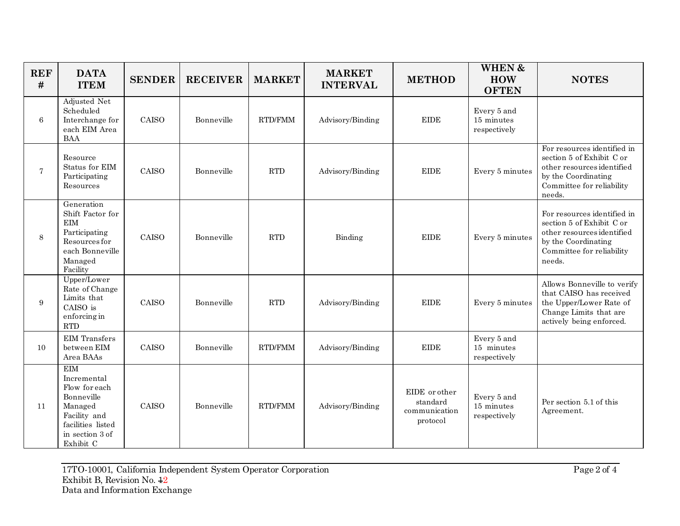| <b>REF</b><br># | <b>DATA</b><br><b>ITEM</b>                                                                                                               | <b>SENDER</b> | <b>RECEIVER</b> | <b>MARKET</b>  | <b>MARKET</b><br><b>INTERVAL</b> | <b>METHOD</b>                                          | WHEN &<br><b>HOW</b><br><b>OFTEN</b>      | <b>NOTES</b>                                                                                                                                         |
|-----------------|------------------------------------------------------------------------------------------------------------------------------------------|---------------|-----------------|----------------|----------------------------------|--------------------------------------------------------|-------------------------------------------|------------------------------------------------------------------------------------------------------------------------------------------------------|
| 6               | Adjusted Net<br>Scheduled<br>Interchange for<br>each EIM Area<br><b>BAA</b>                                                              | CAISO         | Bonneville      | RTD/FMM        | Advisory/Binding                 | <b>EIDE</b>                                            | Every 5 and<br>15 minutes<br>respectively |                                                                                                                                                      |
| $\overline{7}$  | Resource<br>Status for EIM<br>Participating<br>Resources                                                                                 | CAISO         | Bonneville      | <b>RTD</b>     | Advisory/Binding                 | <b>EIDE</b>                                            | Every 5 minutes                           | For resources identified in<br>section 5 of Exhibit C or<br>other resources identified<br>by the Coordinating<br>Committee for reliability<br>needs. |
| 8               | Generation<br>Shift Factor for<br>EIM<br>Participating<br>Resources for<br>each Bonneville<br>Managed<br>Facility                        | <b>CAISO</b>  | Bonneville      | <b>RTD</b>     | Binding                          | $\ensuremath{\mathrm{EIDE}}$                           | Every 5 minutes                           | For resources identified in<br>section 5 of Exhibit C or<br>other resources identified<br>by the Coordinating<br>Committee for reliability<br>needs. |
| 9               | Upper/Lower<br>Rate of Change<br>Limits that<br>CAISO is<br>enforcing in<br><b>RTD</b>                                                   | CAISO         | Bonneville      | <b>RTD</b>     | Advisory/Binding                 | <b>EIDE</b>                                            | Every 5 minutes                           | Allows Bonneville to verify<br>that CAISO has received<br>the Upper/Lower Rate of<br>Change Limits that are<br>actively being enforced.              |
| 10              | <b>EIM</b> Transfers<br>between EIM<br>Area BAAs                                                                                         | CAISO         | Bonneville      | RTD/FMM        | Advisory/Binding                 | <b>EIDE</b>                                            | Every 5 and<br>15 minutes<br>respectively |                                                                                                                                                      |
| 11              | <b>EIM</b><br>Incremental<br>Flow for each<br>Bonneville<br>Managed<br>Facility and<br>facilities listed<br>in section 3 of<br>Exhibit C | CAISO         | Bonneville      | <b>RTD/FMM</b> | Advisory/Binding                 | EIDE or other<br>standard<br>communication<br>protocol | Every 5 and<br>15 minutes<br>respectively | Per section 5.1 of this<br>Agreement.                                                                                                                |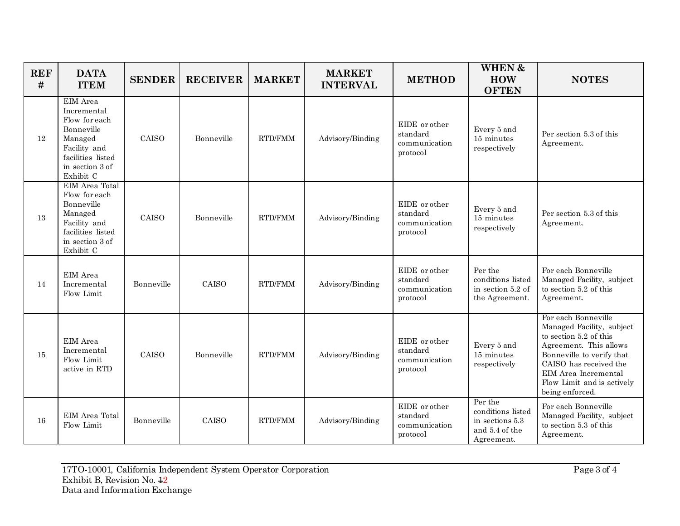| <b>REF</b><br># | <b>DATA</b><br><b>ITEM</b>                                                                                                             | <b>SENDER</b> | <b>RECEIVER</b> | <b>MARKET</b>  | <b>MARKET</b><br><b>INTERVAL</b> | <b>METHOD</b>                                          | <b>WHEN &amp;</b><br><b>HOW</b><br><b>OFTEN</b>                                 | <b>NOTES</b>                                                                                                                                                                                                                         |
|-----------------|----------------------------------------------------------------------------------------------------------------------------------------|---------------|-----------------|----------------|----------------------------------|--------------------------------------------------------|---------------------------------------------------------------------------------|--------------------------------------------------------------------------------------------------------------------------------------------------------------------------------------------------------------------------------------|
| <sup>12</sup>   | EIM Area<br>Incremental<br>Flow for each<br>Bonneville<br>Managed<br>Facility and<br>facilities listed<br>in section 3 of<br>Exhibit C | CAISO         | Bonneville      | RTD/FMM        | Advisory/Binding                 | EIDE or other<br>standard<br>communication<br>protocol | Every 5 and<br>15 minutes<br>respectively                                       | Per section 5.3 of this<br>Agreement.                                                                                                                                                                                                |
| 13              | EIM Area Total<br>Flow for each<br>Bonneville<br>Managed<br>Facility and<br>facilities listed<br>in section 3 of<br>Exhibit C          | CAISO         | Bonneville      | <b>RTD/FMM</b> | Advisory/Binding                 | EIDE or other<br>standard<br>communication<br>protocol | Every 5 and<br>15 minutes<br>respectively                                       | Per section 5.3 of this<br>Agreement.                                                                                                                                                                                                |
| 14              | EIM Area<br>Incremental<br>Flow Limit                                                                                                  | Bonneville    | CAISO           | RTD/FMM        | Advisory/Binding                 | EIDE or other<br>standard<br>communication<br>protocol | Per the<br>conditions listed<br>in section 5.2 of<br>the Agreement.             | For each Bonneville<br>Managed Facility, subject<br>to section 5.2 of this<br>Agreement.                                                                                                                                             |
| 15              | EIM Area<br>Incremental<br>Flow Limit<br>active in RTD                                                                                 | CAISO         | Bonneville      | <b>RTD/FMM</b> | Advisory/Binding                 | EIDE or other<br>standard<br>communication<br>protocol | Every 5 and<br>15 minutes<br>respectively                                       | For each Bonneville<br>Managed Facility, subject<br>to section 5.2 of this<br>Agreement. This allows<br>Bonneville to verify that<br>CAISO has received the<br>EIM Area Incremental<br>Flow Limit and is actively<br>being enforced. |
| <b>16</b>       | EIM Area Total<br>Flow Limit                                                                                                           | Bonneville    | CAISO           | RTD/FMM        | Advisory/Binding                 | EIDE or other<br>standard<br>communication<br>protocol | Per the<br>conditions listed<br>in sections 5.3<br>and 5.4 of the<br>Agreement. | For each Bonneville<br>Managed Facility, subject<br>to section 5.3 of this<br>Agreement.                                                                                                                                             |